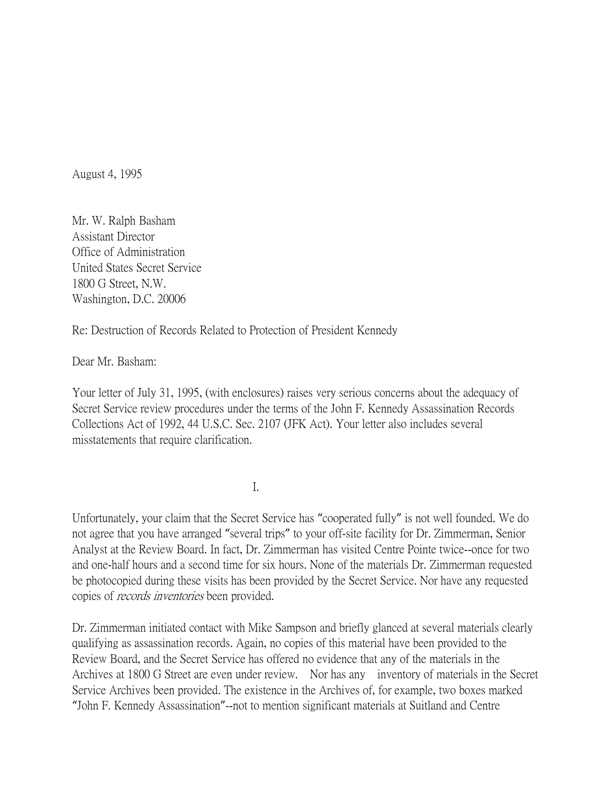August 4, 1995

Mr. W. Ralph Basham Assistant Director Office of Administration United States Secret Service 1800 G Street, N.W. Washington, D.C. 20006

Re: Destruction of Records Related to Protection of President Kennedy

Dear Mr. Basham:

Your letter of July 31, 1995, (with enclosures) raises very serious concerns about the adequacy of Secret Service review procedures under the terms of the John F. Kennedy Assassination Records Collections Act of 1992, 44 U.S.C. Sec. 2107 (JFK Act). Your letter also includes several misstatements that require clarification.

I.

Unfortunately, your claim that the Secret Service has "cooperated fully" is not well founded. We do not agree that you have arranged "several trips" to your off-site facility for Dr. Zimmerman, Senior Analyst at the Review Board. In fact, Dr. Zimmerman has visited Centre Pointe twice--once for two and one-half hours and a second time for six hours. None of the materials Dr. Zimmerman requested be photocopied during these visits has been provided by the Secret Service. Nor have any requested copies of records inventories been provided.

Dr. Zimmerman initiated contact with Mike Sampson and briefly glanced at several materials clearly qualifying as assassination records. Again, no copies of this material have been provided to the Review Board, and the Secret Service has offered no evidence that any of the materials in the Archives at 1800 G Street are even under review. Nor has any inventory of materials in the Secret Service Archives been provided. The existence in the Archives of, for example, two boxes marked "John F. Kennedy Assassination"--not to mention significant materials at Suitland and Centre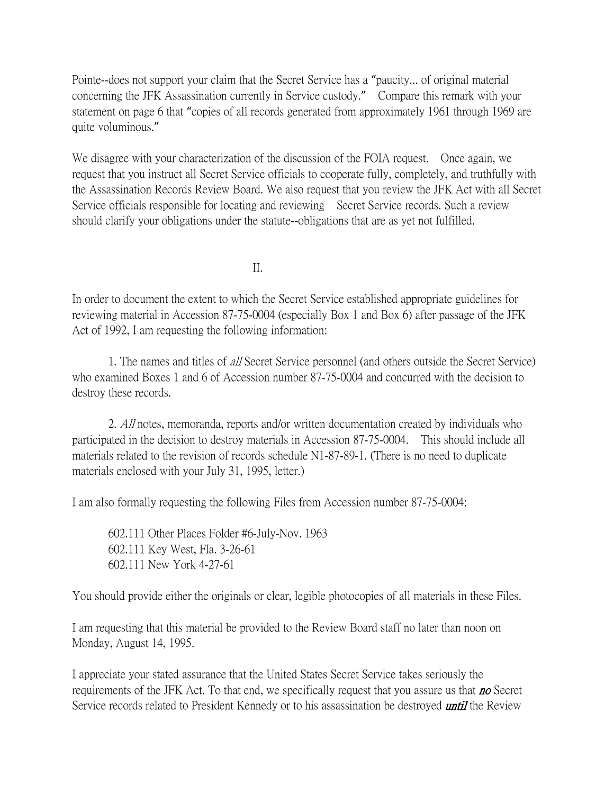Pointe--does not support your claim that the Secret Service has a "paucity... of original material concerning the JFK Assassination currently in Service custody." Compare this remark with your statement on page 6 that "copies of all records generated from approximately 1961 through 1969 are quite voluminous."

We disagree with your characterization of the discussion of the FOIA request. Once again, we request that you instruct all Secret Service officials to cooperate fully, completely, and truthfully with the Assassination Records Review Board. We also request that you review the JFK Act with all Secret Service officials responsible for locating and reviewing Secret Service records. Such a review should clarify your obligations under the statute--obligations that are as yet not fulfilled.

II.

In order to document the extent to which the Secret Service established appropriate guidelines for reviewing material in Accession 87-75-0004 (especially Box 1 and Box 6) after passage of the JFK Act of 1992, I am requesting the following information:

1. The names and titles of all Secret Service personnel (and others outside the Secret Service) who examined Boxes 1 and 6 of Accession number 87-75-0004 and concurred with the decision to destroy these records.

2. All notes, memoranda, reports and/or written documentation created by individuals who participated in the decision to destroy materials in Accession 87-75-0004. This should include all materials related to the revision of records schedule N1-87-89-1. (There is no need to duplicate materials enclosed with your July 31, 1995, letter.)

I am also formally requesting the following Files from Accession number 87-75-0004:

602.111 Other Places Folder #6-July-Nov. 1963 602.111 Key West, Fla. 3-26-61 602.111 New York 4-27-61

You should provide either the originals or clear, legible photocopies of all materials in these Files.

I am requesting that this material be provided to the Review Board staff no later than noon on Monday, August 14, 1995.

I appreciate your stated assurance that the United States Secret Service takes seriously the requirements of the JFK Act. To that end, we specifically request that you assure us that **no** Secret Service records related to President Kennedy or to his assassination be destroyed *until* the Review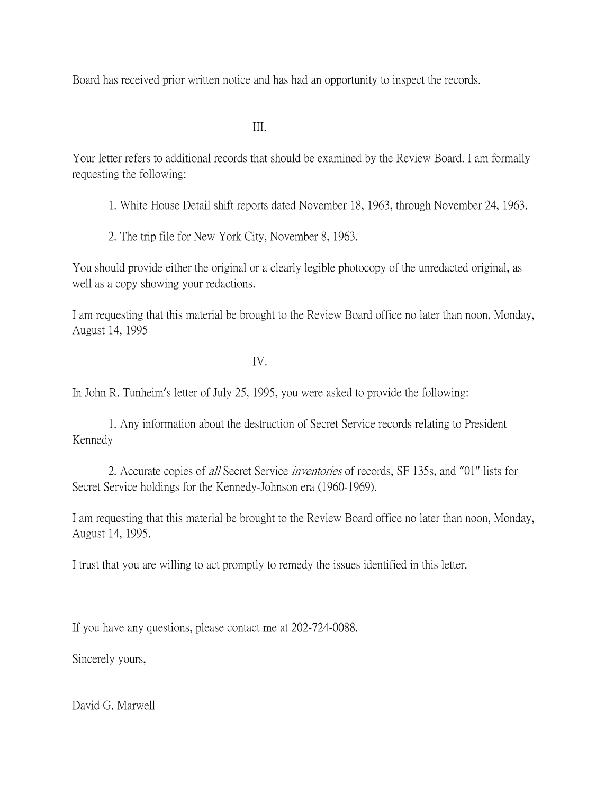Board has received prior written notice and has had an opportunity to inspect the records.

III.

Your letter refers to additional records that should be examined by the Review Board. I am formally requesting the following:

- 1. White House Detail shift reports dated November 18, 1963, through November 24, 1963.
- 2. The trip file for New York City, November 8, 1963.

You should provide either the original or a clearly legible photocopy of the unredacted original, as well as a copy showing your redactions.

I am requesting that this material be brought to the Review Board office no later than noon, Monday, August 14, 1995

IV.

In John R. Tunheim's letter of July 25, 1995, you were asked to provide the following:

1. Any information about the destruction of Secret Service records relating to President Kennedy

2. Accurate copies of all Secret Service inventories of records, SF 135s, and "01" lists for Secret Service holdings for the Kennedy-Johnson era (1960-1969).

I am requesting that this material be brought to the Review Board office no later than noon, Monday, August 14, 1995.

I trust that you are willing to act promptly to remedy the issues identified in this letter.

If you have any questions, please contact me at 202-724-0088.

Sincerely yours,

David G. Marwell